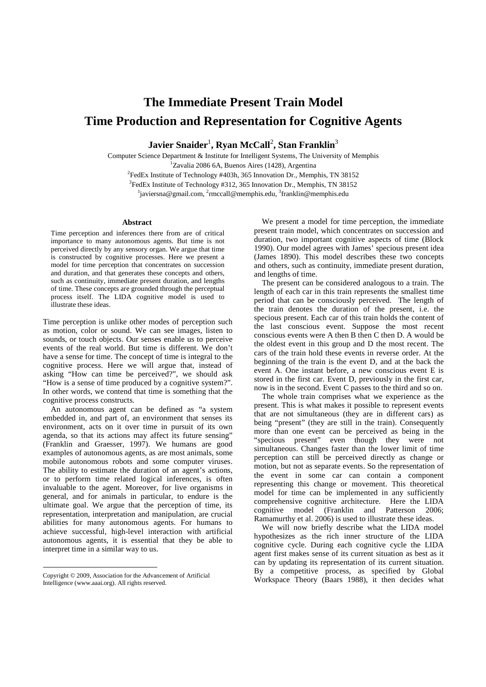## **The Immediate Present Train Model Time Production and Representation for Cognitive Agents**

 $\mathbf{J}\mathbf{a}$ vier Snaider $^1$ , Ryan McCall $^2$ , Stan Franklin $^3$ 

Computer Science Department & Institute for Intelligent Systems, The University of Memphis <sup>1</sup>Zavalia 2086 6A, Buenos Aires (1428), Argentina

 $2^2$ FedEx Institute of Technology #403h, 365 Innovation Dr., Memphis, TN 38152 <sup>3</sup>FedEx Institute of Technology #312, 365 Innovation Dr., Memphis, TN 38152 <sup>1</sup>javiersna@gmail.com, <sup>2</sup>rmccall@memphis.edu, <sup>3</sup>franklin@memphis.edu

## **Abstract**

Time perception and inferences there from are of critical importance to many autonomous agents. But time is not perceived directly by any sensory organ. We argue that time is constructed by cognitive processes. Here we present a model for time perception that concentrates on succession and duration, and that generates these concepts and others, such as continuity, immediate present duration, and lengths of time. These concepts are grounded through the perceptual process itself. The LIDA cognitive model is used to illustrate these ideas.

Time perception is unlike other modes of perception such as motion, color or sound. We can see images, listen to sounds, or touch objects. Our senses enable us to perceive events of the real world. But time is different. We don't have a sense for time. The concept of time is integral to the cognitive process. Here we will argue that, instead of asking "How can time be perceived?", we should ask "How is a sense of time produced by a cognitive system?". In other words, we contend that time is something that the cognitive process constructs.

 An autonomous agent can be defined as "a system embedded in, and part of, an environment that senses its environment, acts on it over time in pursuit of its own agenda, so that its actions may affect its future sensing" (Franklin and Graesser, 1997). We humans are good examples of autonomous agents, as are most animals, some mobile autonomous robots and some computer viruses. The ability to estimate the duration of an agent's actions, or to perform time related logical inferences, is often invaluable to the agent. Moreover, for live organisms in general, and for animals in particular, to endure is the ultimate goal. We argue that the perception of time, its representation, interpretation and manipulation, are crucial abilities for many autonomous agents. For humans to achieve successful, high-level interaction with artificial autonomous agents, it is essential that they be able to interpret time in a similar way to us.

Copyright © 2009, Association for the Advancement of Artificial Intelligence (www.aaai.org). All rights reserved.

 $\overline{a}$ 

 We present a model for time perception, the immediate present train model, which concentrates on succession and duration, two important cognitive aspects of time (Block 1990). Our model agrees with James' specious present idea (James 1890). This model describes these two concepts and others, such as continuity, immediate present duration, and lengths of time.

 The present can be considered analogous to a train. The length of each car in this train represents the smallest time period that can be consciously perceived. The length of the train denotes the duration of the present, i.e. the specious present. Each car of this train holds the content of the last conscious event. Suppose the most recent conscious events were A then B then C then D. A would be the oldest event in this group and D the most recent. The cars of the train hold these events in reverse order. At the beginning of the train is the event D, and at the back the event A. One instant before, a new conscious event E is stored in the first car. Event D, previously in the first car, now is in the second. Event C passes to the third and so on.

 The whole train comprises what we experience as the present. This is what makes it possible to represent events that are not simultaneous (they are in different cars) as being "present" (they are still in the train). Consequently more than one event can be perceived as being in the "specious present" even though they were not simultaneous. Changes faster than the lower limit of time perception can still be perceived directly as change or motion, but not as separate events. So the representation of the event in some car can contain a component representing this change or movement. This theoretical model for time can be implemented in any sufficiently comprehensive cognitive architecture. Here the LIDA cognitive model (Franklin and Patterson 2006; Ramamurthy et al. 2006) is used to illustrate these ideas.

 We will now briefly describe what the LIDA model hypothesizes as the rich inner structure of the LIDA cognitive cycle. During each cognitive cycle the LIDA agent first makes sense of its current situation as best as it can by updating its representation of its current situation. By a competitive process, as specified by Global Workspace Theory (Baars 1988), it then decides what